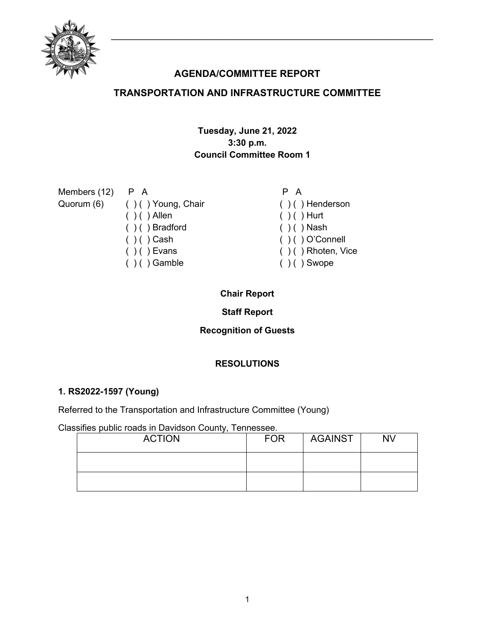

# **AGENDA/COMMITTEE REPORT**

## **TRANSPORTATION AND INFRASTRUCTURE COMMITTEE**

## **Tuesday, June 21, 2022 3:30 p.m. Council Committee Room 1**

| Members (12) P A |                               | P A                    |
|------------------|-------------------------------|------------------------|
|                  | Quorum (6) () () Young, Chair | $( )$ ( ) Henderson    |
|                  | $( ) ( )$ Allen               | $( ) ( )$ Hurt         |
|                  | $( ) ( )$ Bradford            | $( ) ( )$ Nash         |
|                  | $( ) ( )$ Cash                | $( ) ( )$ O'Connell    |
|                  | $( ) ( )$ Evans               | $( )$ ( ) Rhoten, Vice |
|                  | $( ) ( )$ Gamble              | $( ) ( )$ Swope        |

## **Chair Report**

## **Staff Report**

## **Recognition of Guests**

## **RESOLUTIONS**

#### **1. RS2022-1597 (Young)**

Referred to the Transportation and Infrastructure Committee (Young)

Classifies public roads in Davidson County, Tennessee.

| <b>ACTION</b> | <b>FOR</b> | <b>AGAINST</b> | <b>NV</b> |
|---------------|------------|----------------|-----------|
|               |            |                |           |
|               |            |                |           |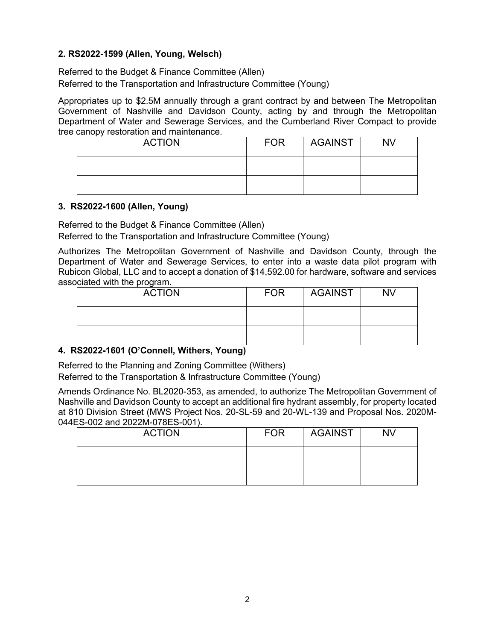#### **2. RS2022-1599 (Allen, Young, Welsch)**

Referred to the Budget & Finance Committee (Allen) Referred to the Transportation and Infrastructure Committee (Young)

Appropriates up to \$2.5M annually through a grant contract by and between The Metropolitan Government of Nashville and Davidson County, acting by and through the Metropolitan Department of Water and Sewerage Services, and the Cumberland River Compact to provide tree canopy restoration and maintenance.

| <b>ACTION</b> | <b>FOR</b> | AGAINST | <b>NV</b> |
|---------------|------------|---------|-----------|
|               |            |         |           |
|               |            |         |           |

#### **3. RS2022-1600 (Allen, Young)**

Referred to the Budget & Finance Committee (Allen)

Referred to the Transportation and Infrastructure Committee (Young)

Authorizes The Metropolitan Government of Nashville and Davidson County, through the Department of Water and Sewerage Services, to enter into a waste data pilot program with Rubicon Global, LLC and to accept a donation of \$14,592.00 for hardware, software and services associated with the program.

| <b>ACTION</b> | <b>FOR</b> | <b>AGAINST</b> | <b>NV</b> |
|---------------|------------|----------------|-----------|
|               |            |                |           |
|               |            |                |           |

#### **4. RS2022-1601 (O'Connell, Withers, Young)**

Referred to the Planning and Zoning Committee (Withers)

Referred to the Transportation & Infrastructure Committee (Young)

Amends Ordinance No. BL2020-353, as amended, to authorize The Metropolitan Government of Nashville and Davidson County to accept an additional fire hydrant assembly, for property located at 810 Division Street (MWS Project Nos. 20-SL-59 and 20-WL-139 and Proposal Nos. 2020M-044ES-002 and 2022M-078ES-001).

| <b>ACTION</b> | <b>FOR</b> | <b>AGAINST</b> | <b>NV</b> |
|---------------|------------|----------------|-----------|
|               |            |                |           |
|               |            |                |           |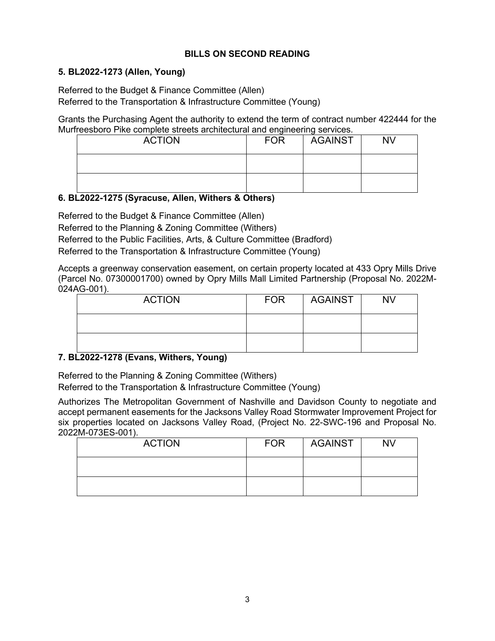## **BILLS ON SECOND READING**

#### **5. BL2022-1273 (Allen, Young)**

Referred to the Budget & Finance Committee (Allen) Referred to the Transportation & Infrastructure Committee (Young)

Grants the Purchasing Agent the authority to extend the term of contract number 422444 for the Murfreesboro Pike complete streets architectural and engineering services.

| <b>ACTION</b> | <b>FOR</b> | <b>AGAINST</b> | <b>NV</b> |
|---------------|------------|----------------|-----------|
|               |            |                |           |
|               |            |                |           |

#### **6. BL2022-1275 (Syracuse, Allen, Withers & Others)**

Referred to the Budget & Finance Committee (Allen)

Referred to the Planning & Zoning Committee (Withers)

Referred to the Public Facilities, Arts, & Culture Committee (Bradford)

Referred to the Transportation & Infrastructure Committee (Young)

Accepts a greenway conservation easement, on certain property located at 433 Opry Mills Drive (Parcel No. 07300001700) owned by Opry Mills Mall Limited Partnership (Proposal No. 2022M-024AG-001).

| <b>ACTION</b> | <b>FOR</b> | AGAINST | <b>NV</b> |
|---------------|------------|---------|-----------|
|               |            |         |           |
|               |            |         |           |

## **7. BL2022-1278 (Evans, Withers, Young)**

Referred to the Planning & Zoning Committee (Withers)

Referred to the Transportation & Infrastructure Committee (Young)

Authorizes The Metropolitan Government of Nashville and Davidson County to negotiate and accept permanent easements for the Jacksons Valley Road Stormwater Improvement Project for six properties located on Jacksons Valley Road, (Project No. 22-SWC-196 and Proposal No. 2022M-073ES-001).

| <b>ACTION</b> | <b>FOR</b> | <b>AGAINST</b> | <b>NV</b> |
|---------------|------------|----------------|-----------|
|               |            |                |           |
|               |            |                |           |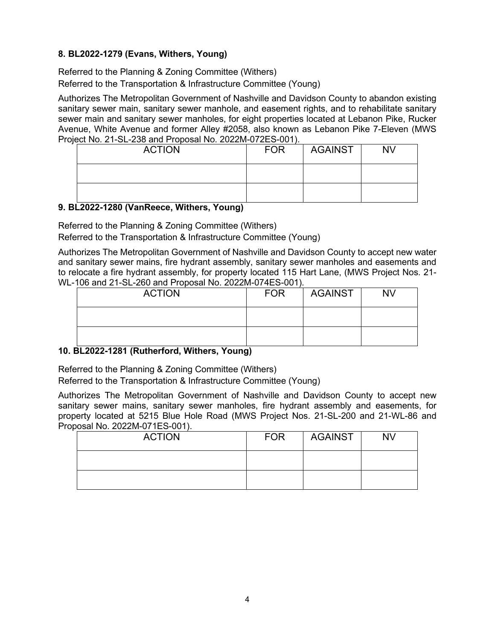## **8. BL2022-1279 (Evans, Withers, Young)**

Referred to the Planning & Zoning Committee (Withers) Referred to the Transportation & Infrastructure Committee (Young)

Authorizes The Metropolitan Government of Nashville and Davidson County to abandon existing sanitary sewer main, sanitary sewer manhole, and easement rights, and to rehabilitate sanitary sewer main and sanitary sewer manholes, for eight properties located at Lebanon Pike, Rucker Avenue, White Avenue and former Alley #2058, also known as Lebanon Pike 7-Eleven (MWS Project No. 21-SL-238 and Proposal No. 2022M-072ES-001).

| <b>ACTION</b> | <b>FOR</b> | <b>AGAINST</b> | <b>NV</b> |
|---------------|------------|----------------|-----------|
|               |            |                |           |
|               |            |                |           |

## **9. BL2022-1280 (VanReece, Withers, Young)**

Referred to the Planning & Zoning Committee (Withers)

Referred to the Transportation & Infrastructure Committee (Young)

Authorizes The Metropolitan Government of Nashville and Davidson County to accept new water and sanitary sewer mains, fire hydrant assembly, sanitary sewer manholes and easements and to relocate a fire hydrant assembly, for property located 115 Hart Lane, (MWS Project Nos. 21- WL-106 and 21-SL-260 and Proposal No. 2022M-074ES-001).

| <b>ACTION</b> | <b>FOR</b> | <b>AGAINST</b> | <b>NV</b> |
|---------------|------------|----------------|-----------|
|               |            |                |           |
|               |            |                |           |

## **10. BL2022-1281 (Rutherford, Withers, Young)**

Referred to the Planning & Zoning Committee (Withers)

Referred to the Transportation & Infrastructure Committee (Young)

Authorizes The Metropolitan Government of Nashville and Davidson County to accept new sanitary sewer mains, sanitary sewer manholes, fire hydrant assembly and easements, for property located at 5215 Blue Hole Road (MWS Project Nos. 21-SL-200 and 21-WL-86 and Proposal No. 2022M-071ES-001).

| <b>ACTION</b> | <b>FOR</b> | AGAINST | <b>NV</b> |
|---------------|------------|---------|-----------|
|               |            |         |           |
|               |            |         |           |